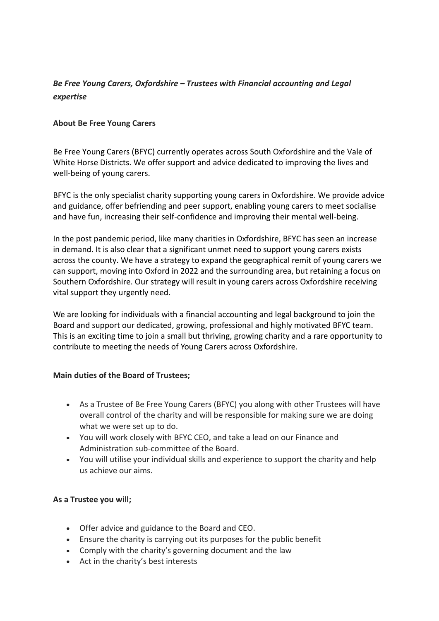# *Be Free Young Carers, Oxfordshire – Trustees with Financial accounting and Legal expertise*

## **About Be Free Young Carers**

Be Free Young Carers (BFYC) currently operates across South Oxfordshire and the Vale of White Horse Districts. We offer support and advice dedicated to improving the lives and well-being of young carers.

BFYC is the only specialist charity supporting young carers in Oxfordshire. We provide advice and guidance, offer befriending and peer support, enabling young carers to meet socialise and have fun, increasing their self-confidence and improving their mental well-being.

In the post pandemic period, like many charities in Oxfordshire, BFYC has seen an increase in demand. It is also clear that a significant unmet need to support young carers exists across the county. We have a strategy to expand the geographical remit of young carers we can support, moving into Oxford in 2022 and the surrounding area, but retaining a focus on Southern Oxfordshire. Our strategy will result in young carers across Oxfordshire receiving vital support they urgently need.

We are looking for individuals with a financial accounting and legal background to join the Board and support our dedicated, growing, professional and highly motivated BFYC team. This is an exciting time to join a small but thriving, growing charity and a rare opportunity to contribute to meeting the needs of Young Carers across Oxfordshire.

## **Main duties of the Board of Trustees;**

- As a Trustee of Be Free Young Carers (BFYC) you along with other Trustees will have overall control of the charity and will be responsible for making sure we are doing what we were set up to do.
- You will work closely with BFYC CEO, and take a lead on our Finance and Administration sub-committee of the Board.
- You will utilise your individual skills and experience to support the charity and help us achieve our aims.

## **As a Trustee you will;**

- Offer advice and guidance to the Board and CEO.
- Ensure the charity is carrying out its purposes for the public benefit
- Comply with the charity's governing document and the law
- Act in the charity's best interests